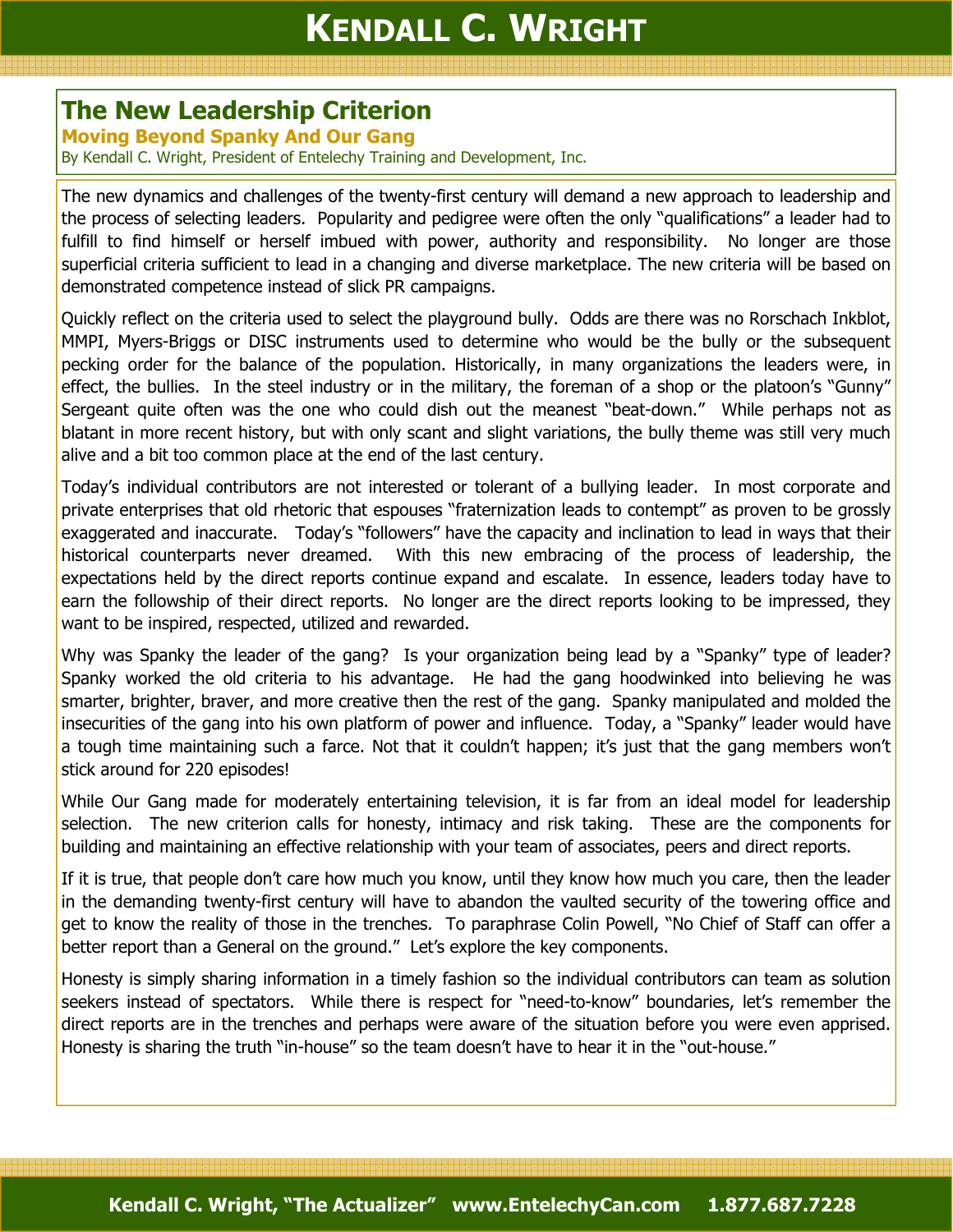## The New Leadership Criterion

Moving Beyond Spanky And Our Gang

By Kendall C. Wright, President of Entelechy Training and Development, Inc.

The new dynamics and challenges of the twenty-first century will demand a new approach to leadership and the process of selecting leaders. Popularity and pedigree were often the only "qualifications" a leader had to fulfill to find himself or herself imbued with power, authority and responsibility. No longer are those superficial criteria sufficient to lead in a changing and diverse marketplace. The new criteria will be based on demonstrated competence instead of slick PR campaigns.

Quickly reflect on the criteria used to select the playground bully. Odds are there was no Rorschach Inkblot, MMPI, Myers-Briggs or DISC instruments used to determine who would be the bully or the subsequent pecking order for the balance of the population. Historically, in many organizations the leaders were, in effect, the bullies. In the steel industry or in the military, the foreman of a shop or the platoon's "Gunny" Sergeant quite often was the one who could dish out the meanest "beat-down." While perhaps not as blatant in more recent history, but with only scant and slight variations, the bully theme was still very much alive and a bit too common place at the end of the last century.

Today's individual contributors are not interested or tolerant of a bullying leader. In most corporate and private enterprises that old rhetoric that espouses "fraternization leads to contempt" as proven to be grossly exaggerated and inaccurate. Today's "followers" have the capacity and inclination to lead in ways that their historical counterparts never dreamed. With this new embracing of the process of leadership, the expectations held by the direct reports continue expand and escalate. In essence, leaders today have to earn the followship of their direct reports. No longer are the direct reports looking to be impressed, they want to be inspired, respected, utilized and rewarded.

Why was Spanky the leader of the gang? Is your organization being lead by a "Spanky" type of leader? Spanky worked the old criteria to his advantage. He had the gang hoodwinked into believing he was smarter, brighter, braver, and more creative then the rest of the gang. Spanky manipulated and molded the insecurities of the gang into his own platform of power and influence. Today, a "Spanky" leader would have a tough time maintaining such a farce. Not that it couldn't happen; it's just that the gang members won't stick around for 220 episodes!

While Our Gang made for moderately entertaining television, it is far from an ideal model for leadership selection. The new criterion calls for honesty, intimacy and risk taking. These are the components for building and maintaining an effective relationship with your team of associates, peers and direct reports.

If it is true, that people don't care how much you know, until they know how much you care, then the leader in the demanding twenty-first century will have to abandon the vaulted security of the towering office and get to know the reality of those in the trenches. To paraphrase Colin Powell, "No Chief of Staff can offer a better report than a General on the ground." Let's explore the key components.

Honesty is simply sharing information in a timely fashion so the individual contributors can team as solution seekers instead of spectators. While there is respect for "need-to-know" boundaries, let's remember the direct reports are in the trenches and perhaps were aware of the situation before you were even apprised. Honesty is sharing the truth "in-house" so the team doesn't have to hear it in the "out-house."